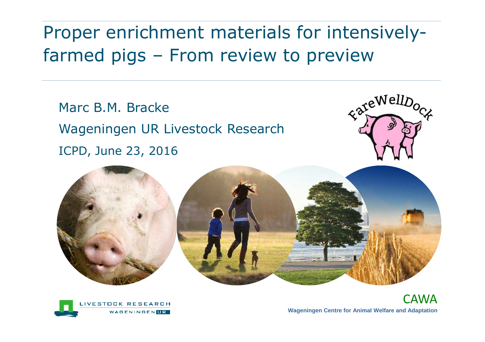# Proper enrichment materials for intensivelyfarmed pigs – From review to preview

Marc B.M. BrackeWageningen UR Livestock ResearchICPD, June 23, 2016







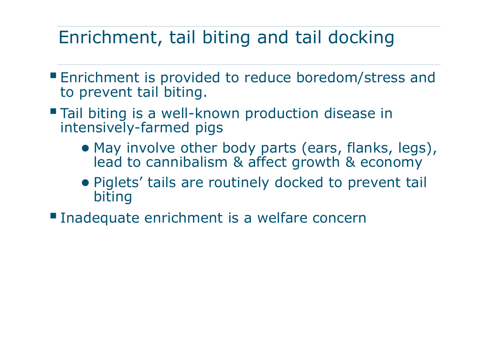### Enrichment, tail biting and tail docking

- Enrichment is provided to reduce boredom/stress and<br>to provent tail biting to prevent tail biting.
- Tail biting is a well-known production disease in intensively-farmed pigs
	- May involve other body parts (ears, flanks, legs), lead to cannibalism & affect growth & economy
	- Piglets' tails are routinely docked to prevent tail biting
- **Inadequate enrichment is a welfare concern**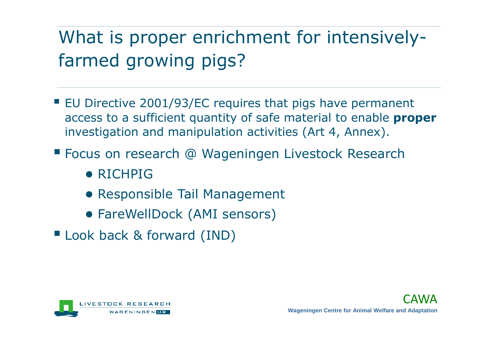### What is proper enrichment for intensivelyfarmed growing pigs?

- EU Directive 2001/93/EC requires that pigs have permanent<br>access to a sufficient quantity of safe material to enable **proj** access to a sufficient quantity of safe material to enable **proper**investigation and manipulation activities (Art 4, Annex).
- Focus on research @ Wageningen Livestock Research
	- RICHPIG
	- Responsible Tail Management
	- FareWellDock (AMI sensors)
- Look back & forward (IND)

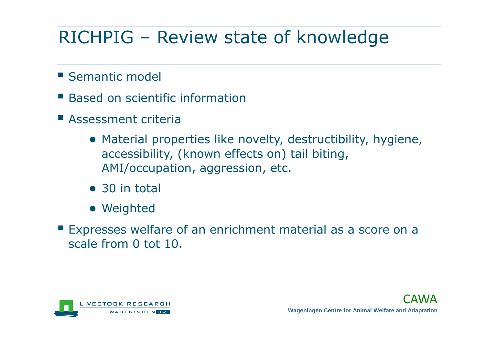# RICHPIG – Review state of knowledge

- **Semantic model**
- **Based on scientific information**
- Assessment criteria
	- Material properties like novelty, destructibility, hygiene, accessibility, (known effects on) tail biting, AMI/occupation, aggression, etc.
	- 30 in total
	- Weighted
- **Expresses welfare of an enrichment material as a score on a** scale from 0 tot 10.

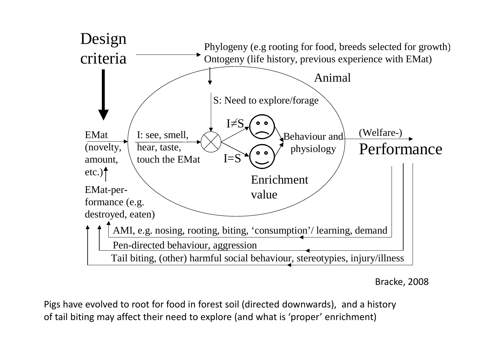

Bracke, 2008

Pigs have evolved to root for food in forest soil (directed downwards), and a history of tail biting may affect their need to explore (and what is 'proper' enrichment)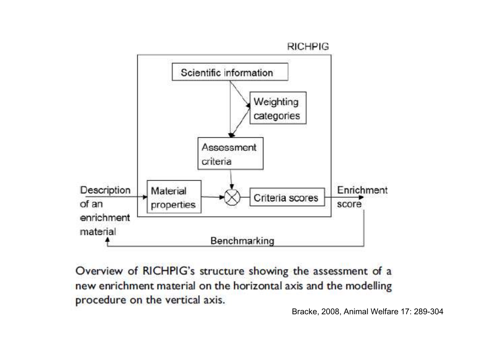#### **RICHPIG**



Overview of RICHPIG's structure showing the assessment of a new enrichment material on the horizontal axis and the modelling procedure on the vertical axis.

Bracke, 2008, Animal Welfare 17: 289-304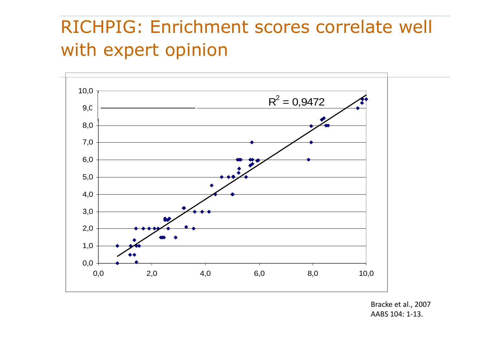# RICHPIG: Enrichment scores correlate well with expert opinion



Bracke et al., 2007AABS 104: 1-13.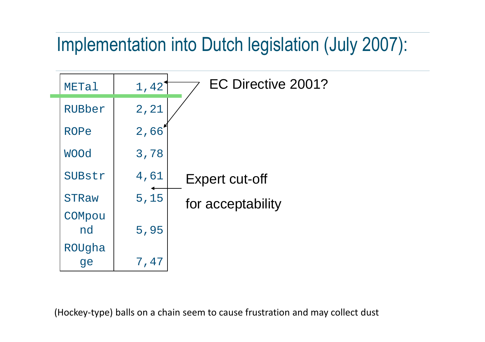# Implementation into Dutch legislation (July 2007):



(Hockey-type) balls on a chain seem to cause frustration and may collect dust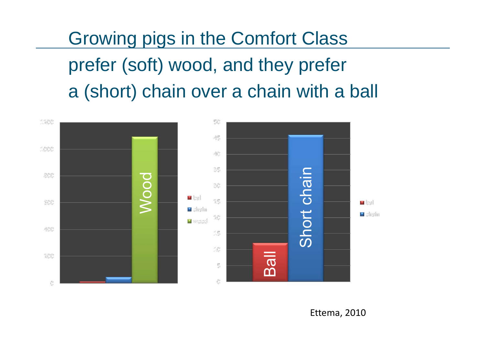Growing pigs in the Comfort Classprefer (soft) wood, and they prefera (short) chain over a chain with a ball

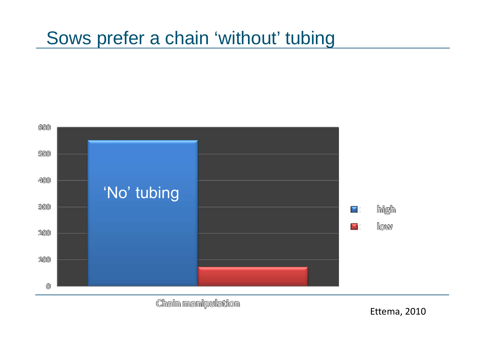### Sows prefer a chain 'without' tubing



Chain mamipulation

Ettema, 2010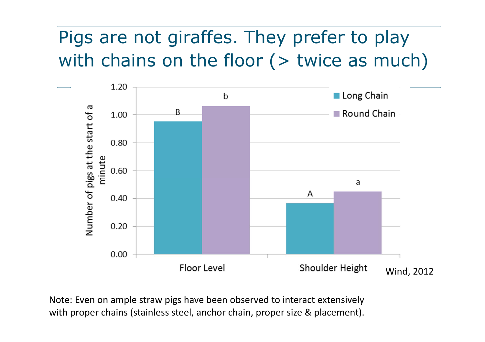# Pigs are not giraffes. They prefer to play with chains on the floor  $($   $>$  twice as much)



Note: Even on ample straw pigs have been observed to interact extensively with proper chains (stainless steel, anchor chain, proper size & placement).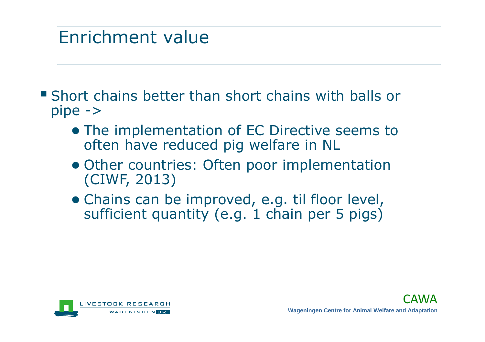### Enrichment value

- Short chains better than short chains with balls or pipe ->
	- The implementation of EC Directive seems to<br>often have reduced pia welfare in NI often have reduced pig welfare in NL
	- Other countries: Often poor implementation (CIWF, 2013)
	- Chains can be improved, e.g. til floor level, sufficient quantity (e.g. 1 chain per 5 pigs)

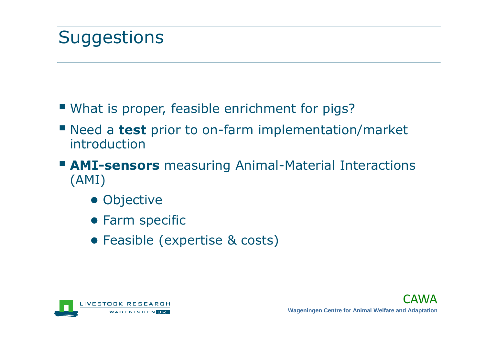- What is proper, feasible enrichment for pigs?
- Need a **test** prior to on-farm implementation/market introduction
- **AMI-sensors** measuring Animal-Material Interactions (AMI)
	- Objective
	- Farm specific
	- Feasible (expertise & costs)

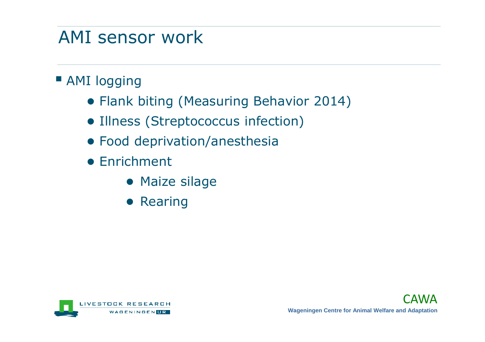### AMI sensor work

- AMI logging
	- Flank biting (Measuring Behavior 2014)
	- Illness (Streptococcus infection)
	- Food deprivation/anesthesia
	- Enrichment
		- Maize silage
		- Rearing

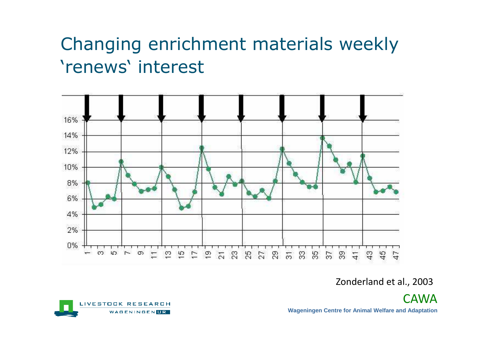# Changing enrichment materials weekly 'renews' interest



#### Zonderland et al., 2003

**CAWA Wageningen Centre for Animal Welfare and Adaptation** 

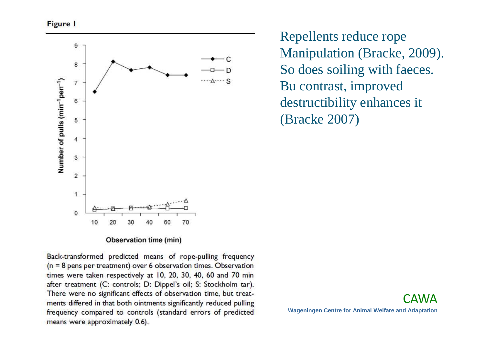

Observation time (min)

Back-transformed predicted means of rope-pulling frequency  $(n = 8$  pens per treatment) over 6 observation times. Observation times were taken respectively at 10, 20, 30, 40, 60 and 70 min after treatment (C: controls; D: Dippel's oil; S: Stockholm tar). There were no significant effects of observation time, but treatments differed in that both ointments significantly reduced pulling frequency compared to controls (standard errors of predicted means were approximately 0.6).

Repellents reduce rope Manipulation (Bracke, 2009).So does soiling with faeces.Bu contrast, improved destructibility enhances it(Bracke 2007)

CAWA**Wageningen Centre for Animal Welfare and Adaptation**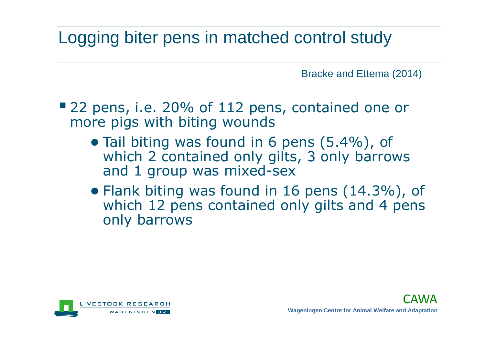### Logging biter pens in matched control study

Bracke and Ettema (2014)

- 22 pens, i.e. 20% of 112 pens, contained one or more pigs with biting wounds
	- Tail biting was found in 6 pens (5.4%), of<br>which 3 contained only gifts 3 only barrow which 2 contained only gilts, 3 only barrows and 1 group was mixed-sex
	- Flank biting was found in 16 pens (14.3%), of<br>which 12 pens contained only gilts and 4 pens which 12 pens contained only gilts and 4 pens only barrows

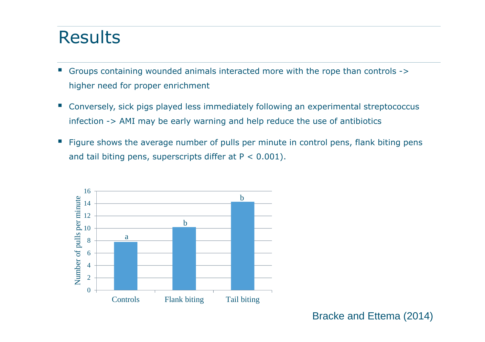### Results

- **Service Service**  Groups containing wounded animals interacted more with the rope than controls -> higher need for proper enrichment
- $\mathbb{R}^n$  Conversely, sick pigs played less immediately following an experimental streptococcus infection -> AMI may be early warning and help reduce the use of antibiotics
- e<br>S Figure shows the average number of pulls per minute in control pens, flank biting pens and tail biting pens, superscripts differ at  $P < 0.001$ ).



Bracke and Ettema (2014)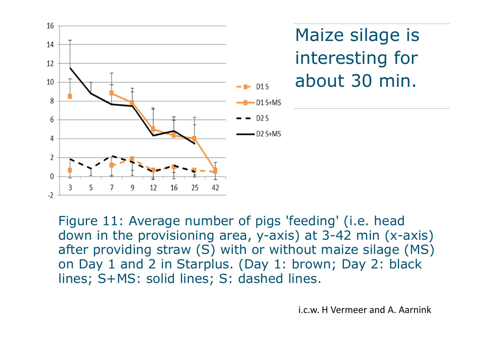

Maize silage is interesting for about 30 min.

Figure 11: Average number of pigs 'feeding' (i.e. head down in the provisioning area, y-axis) at 3-42 min (x-axis) after providing straw (S) with or without maize silage (MS) on Day 1 and 2 in Starplus. (Day 1: brown; Day 2: black lines; S+MS: solid lines; S: dashed lines.

i.c.w. H Vermeer and A. Aarnink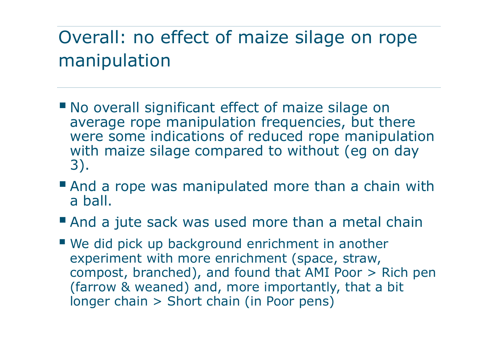# Overall: no effect of maize silage on rope manipulation

- No overall significant effect of maize silage on average rope manipulation frequencies, but there were some indications of reduced rope manipulation with maize silage compared to without (eg on day 3).
- And a rope was manipulated more than a chain with a ball.
- And a jute sack was used more than a metal chain
- We did pick up background enrichment in another experiment with more enrichment (space, straw, compost, branched), and found that AMI Poor > Rich pen (farrow & weaned) and, more importantly, that a bitlonger chain > Short chain (in Poor pens)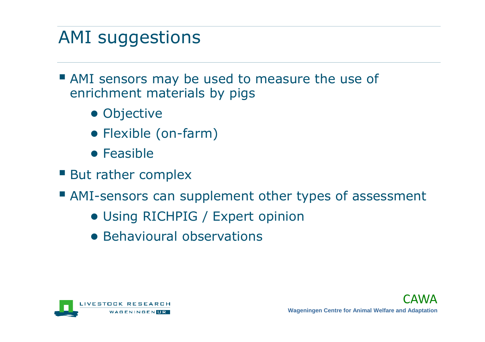# AMI suggestions

- AMI sensors may be used to measure the use of enrichment materials by pigs
	- Objective
	- Flexible (on-farm)
	- Feasible
- But rather complex
- AMI-sensors can supplement other types of assessment
	- Using RICHPIG / Expert opinion
	- Behavioural observations

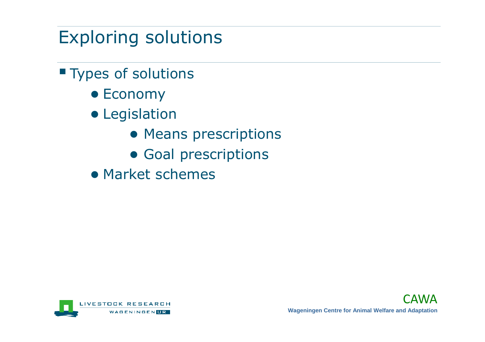# Exploring solutions

- **Types of solutions** 
	- Economy
	- Legislation
		- Means prescriptions
		- Goal prescriptions
	- Market schemes

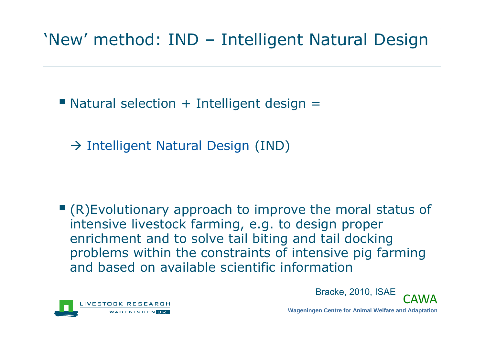### 'New' method: IND – Intelligent Natural Design

 $\blacksquare$  Natural selection + Intelligent design  $=$ 

- Intelligent Natural Design (IND)

 $\blacksquare$  (R)Evolutionary approach to improve the moral status of intensive livestock farming, e.g. to design proper enrichment and to solve tail biting and tail docking problems within the constraints of intensive pig farming and based on available scientific information



Bracke, 2010, ISAE



**Wageningen Centre for Animal Welfare and Adaptation**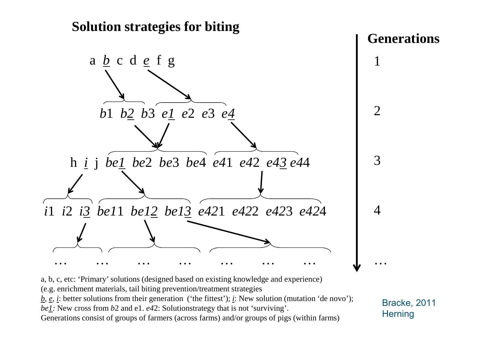

a, b, c, etc: 'Primary' solutions (designed based on existing knowledge and experience)

(e.g. enrichment materials, tail biting prevention/treatment strategies

 $\underline{b}, \underline{e}, \underline{i}$ : better solutions from their generation ('the fittest');  $\underline{i}$ : New solution (mutation 'de novo'); *be1:* New cross from *b*2 and e1. *e4*2: Solutionstrategy that is not 'surviving'.

Generations consist of groups of farmers (across farms) and/or groups of pigs (within farms)

Bracke, 2011**Herning**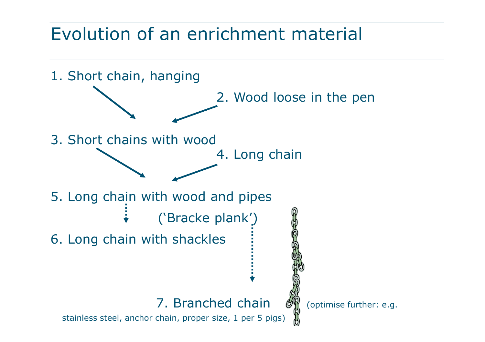### Evolution of an enrichment material

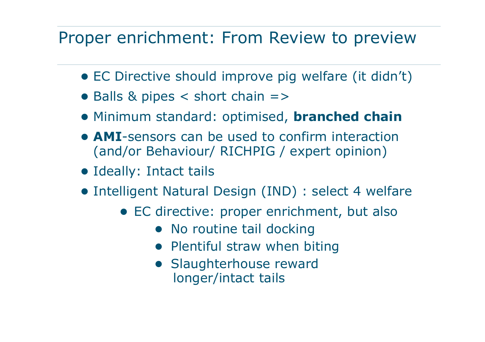### Proper enrichment: From Review to preview

- EC Directive should improve pig welfare (it didn't)
- Balls & pipes < short chain =>
- Minimum standard: optimised, **branched chain**
- **AMI**-sensors can be used to confirm interaction (and/or Behaviour/ RICHPIG / expert opinion)
- Ideally: Intact tails
- Intelligent Natural Design (IND) : select 4 welfare
	- EC directive: proper enrichment, but also
		- No routine tail docking
		- Plentiful straw when biting
		- Slaughterhouse reward longer/intact tails